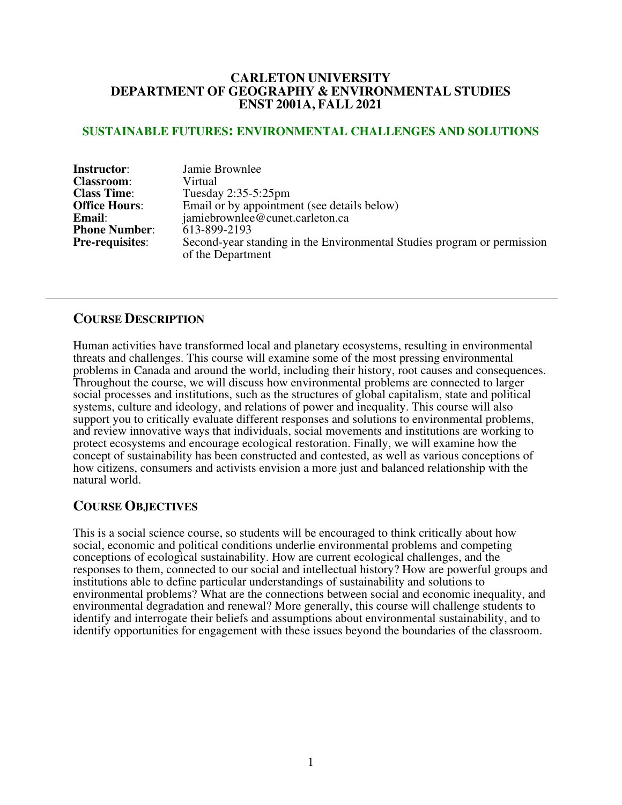### **CARLETON UNIVERSITY DEPARTMENT OF GEOGRAPHY & ENVIRONMENTAL STUDIES ENST 2001A, FALL 2021**

### **SUSTAINABLE FUTURES: ENVIRONMENTAL CHALLENGES AND SOLUTIONS**

| <b>Instructor:</b>     | Jamie Brownlee                                                                               |  |  |
|------------------------|----------------------------------------------------------------------------------------------|--|--|
| <b>Classroom:</b>      | Virtual                                                                                      |  |  |
| <b>Class Time:</b>     | Tuesday $2:35-5:25$ pm                                                                       |  |  |
| <b>Office Hours:</b>   | Email or by appointment (see details below)                                                  |  |  |
| Email:                 | jamiebrownlee@cunet.carleton.ca                                                              |  |  |
| <b>Phone Number:</b>   | 613-899-2193                                                                                 |  |  |
| <b>Pre-requisites:</b> | Second-year standing in the Environmental Studies program or permission<br>of the Department |  |  |

### **COURSE DESCRIPTION**

Human activities have transformed local and planetary ecosystems, resulting in environmental threats and challenges. This course will examine some of the most pressing environmental problems in Canada and around the world, including their history, root causes and consequences. Throughout the course, we will discuss how environmental problems are connected to larger social processes and institutions, such as the structures of global capitalism, state and political systems, culture and ideology, and relations of power and inequality. This course will also support you to critically evaluate different responses and solutions to environmental problems, and review innovative ways that individuals, social movements and institutions are working to protect ecosystems and encourage ecological restoration. Finally, we will examine how the concept of sustainability has been constructed and contested, as well as various conceptions of how citizens, consumers and activists envision a more just and balanced relationship with the natural world.

### **COURSE OBJECTIVES**

This is a social science course, so students will be encouraged to think critically about how social, economic and political conditions underlie environmental problems and competing conceptions of ecological sustainability. How are current ecological challenges, and the responses to them, connected to our social and intellectual history? How are powerful groups and institutions able to define particular understandings of sustainability and solutions to environmental problems? What are the connections between social and economic inequality, and environmental degradation and renewal? More generally, this course will challenge students to identify and interrogate their beliefs and assumptions about environmental sustainability, and to identify opportunities for engagement with these issues beyond the boundaries of the classroom.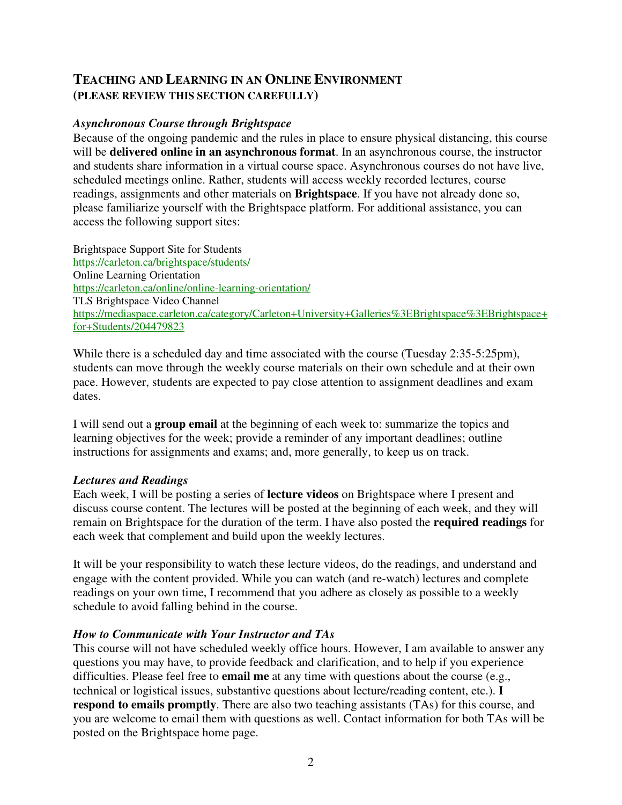### **TEACHING AND LEARNING IN AN ONLINE ENVIRONMENT (PLEASE REVIEW THIS SECTION CAREFULLY)**

### *Asynchronous Course through Brightspace*

Because of the ongoing pandemic and the rules in place to ensure physical distancing, this course will be **delivered online in an asynchronous format**. In an asynchronous course, the instructor and students share information in a virtual course space. Asynchronous courses do not have live, scheduled meetings online. Rather, students will access weekly recorded lectures, course readings, assignments and other materials on **Brightspace**. If you have not already done so, please familiarize yourself with the Brightspace platform. For additional assistance, you can access the following support sites:

Brightspace Support Site for Students https://carleton.ca/brightspace/students/ Online Learning Orientation https://carleton.ca/online/online-learning-orientation/ TLS Brightspace Video Channel https://mediaspace.carleton.ca/category/Carleton+University+Galleries%3EBrightspace%3EBrightspace+ for+Students/204479823

While there is a scheduled day and time associated with the course (Tuesday 2:35-5:25pm), students can move through the weekly course materials on their own schedule and at their own pace. However, students are expected to pay close attention to assignment deadlines and exam dates.

I will send out a **group email** at the beginning of each week to: summarize the topics and learning objectives for the week; provide a reminder of any important deadlines; outline instructions for assignments and exams; and, more generally, to keep us on track.

### *Lectures and Readings*

Each week, I will be posting a series of **lecture videos** on Brightspace where I present and discuss course content. The lectures will be posted at the beginning of each week, and they will remain on Brightspace for the duration of the term. I have also posted the **required readings** for each week that complement and build upon the weekly lectures.

It will be your responsibility to watch these lecture videos, do the readings, and understand and engage with the content provided. While you can watch (and re-watch) lectures and complete readings on your own time, I recommend that you adhere as closely as possible to a weekly schedule to avoid falling behind in the course.

### *How to Communicate with Your Instructor and TAs*

This course will not have scheduled weekly office hours. However, I am available to answer any questions you may have, to provide feedback and clarification, and to help if you experience difficulties. Please feel free to **email me** at any time with questions about the course (e.g., technical or logistical issues, substantive questions about lecture/reading content, etc.). **I respond to emails promptly**. There are also two teaching assistants (TAs) for this course, and you are welcome to email them with questions as well. Contact information for both TAs will be posted on the Brightspace home page.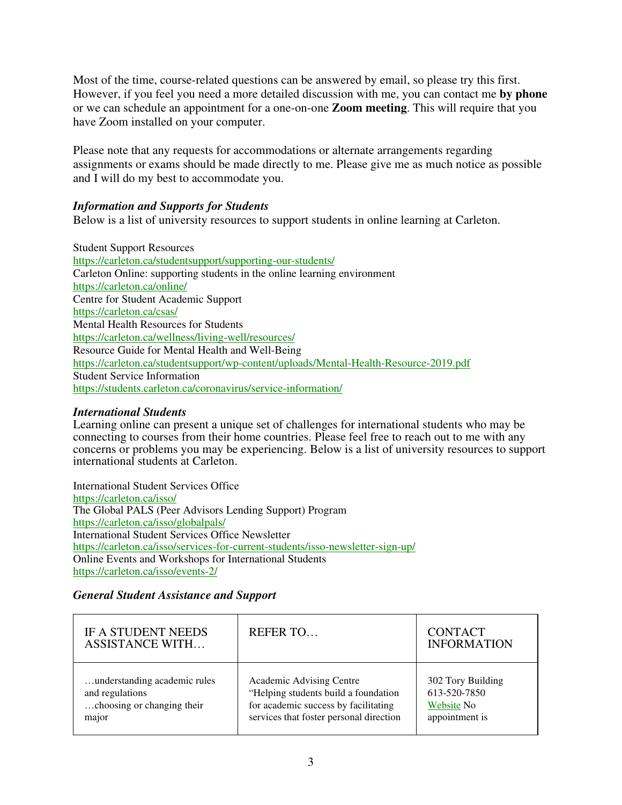Most of the time, course-related questions can be answered by email, so please try this first. However, if you feel you need a more detailed discussion with me, you can contact me **by phone** or we can schedule an appointment for a one-on-one **Zoom meeting**. This will require that you have Zoom installed on your computer.

Please note that any requests for accommodations or alternate arrangements regarding assignments or exams should be made directly to me. Please give me as much notice as possible and I will do my best to accommodate you.

### *Information and Supports for Students*

Below is a list of university resources to support students in online learning at Carleton.

Student Support Resources https://carleton.ca/studentsupport/supporting-our-students/ Carleton Online: supporting students in the online learning environment https://carleton.ca/online/ Centre for Student Academic Support https://carleton.ca/csas/ Mental Health Resources for Students https://carleton.ca/wellness/living-well/resources/ Resource Guide for Mental Health and Well-Being https://carleton.ca/studentsupport/wp-content/uploads/Mental-Health-Resource-2019.pdf Student Service Information https://students.carleton.ca/coronavirus/service-information/

### *International Students*

Learning online can present a unique set of challenges for international students who may be connecting to courses from their home countries. Please feel free to reach out to me with any concerns or problems you may be experiencing. Below is a list of university resources to support international students at Carleton.

International Student Services Office https://carleton.ca/isso/ The Global PALS (Peer Advisors Lending Support) Program https://carleton.ca/isso/globalpals/ International Student Services Office Newsletter https://carleton.ca/isso/services-for-current-students/isso-newsletter-sign-up/ Online Events and Workshops for International Students https://carleton.ca/isso/events-2/

### *General Student Assistance and Support*

| <b>IF A STUDENT NEEDS</b><br><b>ASSISTANCE WITH</b> | <b>REFERTO</b>                          | <b>CONTACT</b><br><b>INFORMATION</b> |
|-----------------------------------------------------|-----------------------------------------|--------------------------------------|
| understanding academic rules                        | Academic Advising Centre                | 302 Tory Building                    |
| and regulations                                     | "Helping students build a foundation    | 613-520-7850                         |
| choosing or changing their                          | for academic success by facilitating    | Website No.                          |
| major                                               | services that foster personal direction | appointment is                       |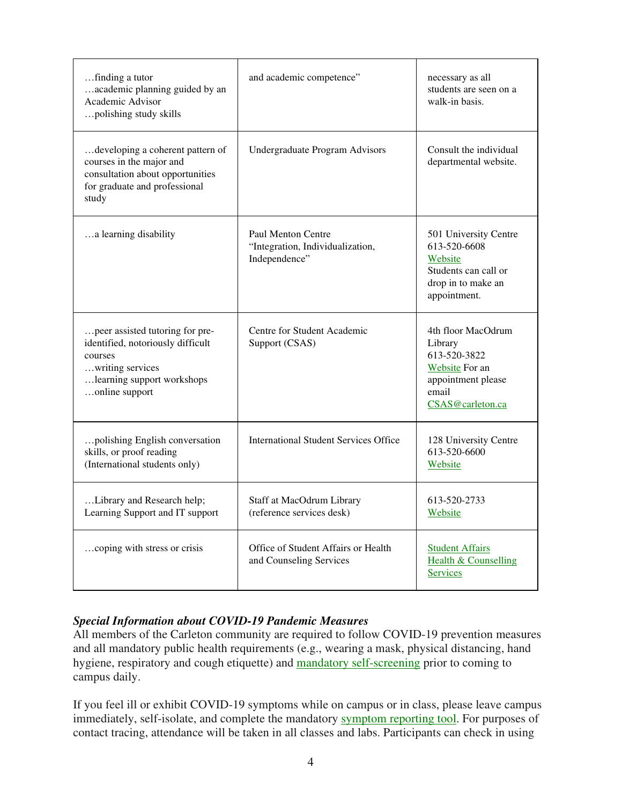| finding a tutor<br>academic planning guided by an<br>Academic Advisor<br>polishing study skills                                                     | and academic competence"                                                       | necessary as all<br>students are seen on a<br>walk-in basis.                                                              |
|-----------------------------------------------------------------------------------------------------------------------------------------------------|--------------------------------------------------------------------------------|---------------------------------------------------------------------------------------------------------------------------|
| developing a coherent pattern of<br>courses in the major and<br>consultation about opportunities<br>for graduate and professional<br>study          | Undergraduate Program Advisors                                                 | Consult the individual<br>departmental website.                                                                           |
| a learning disability                                                                                                                               | <b>Paul Menton Centre</b><br>"Integration, Individualization,<br>Independence" | 501 University Centre<br>613-520-6608<br>Website<br>Students can call or<br>drop in to make an<br>appointment.            |
| peer assisted tutoring for pre-<br>identified, notoriously difficult<br>courses<br>writing services<br>learning support workshops<br>online support | Centre for Student Academic<br>Support (CSAS)                                  | 4th floor MacOdrum<br>Library<br>613-520-3822<br><b>Website</b> For an<br>appointment please<br>email<br>CSAS@carleton.ca |
| polishing English conversation<br>skills, or proof reading<br>(International students only)                                                         | <b>International Student Services Office</b>                                   | 128 University Centre<br>613-520-6600<br>Website                                                                          |
| Library and Research help;<br>Learning Support and IT support                                                                                       | Staff at MacOdrum Library<br>(reference services desk)                         | 613-520-2733<br>Website                                                                                                   |
| coping with stress or crisis                                                                                                                        | Office of Student Affairs or Health<br>and Counseling Services                 | <b>Student Affairs</b><br>Health & Counselling<br><b>Services</b>                                                         |

### *Special Information about COVID-19 Pandemic Measures*

All members of the Carleton community are required to follow COVID-19 prevention measures and all mandatory public health requirements (e.g., wearing a mask, physical distancing, hand hygiene, respiratory and cough etiquette) and mandatory self-screening prior to coming to campus daily.

If you feel ill or exhibit COVID-19 symptoms while on campus or in class, please leave campus immediately, self-isolate, and complete the mandatory symptom reporting tool. For purposes of contact tracing, attendance will be taken in all classes and labs. Participants can check in using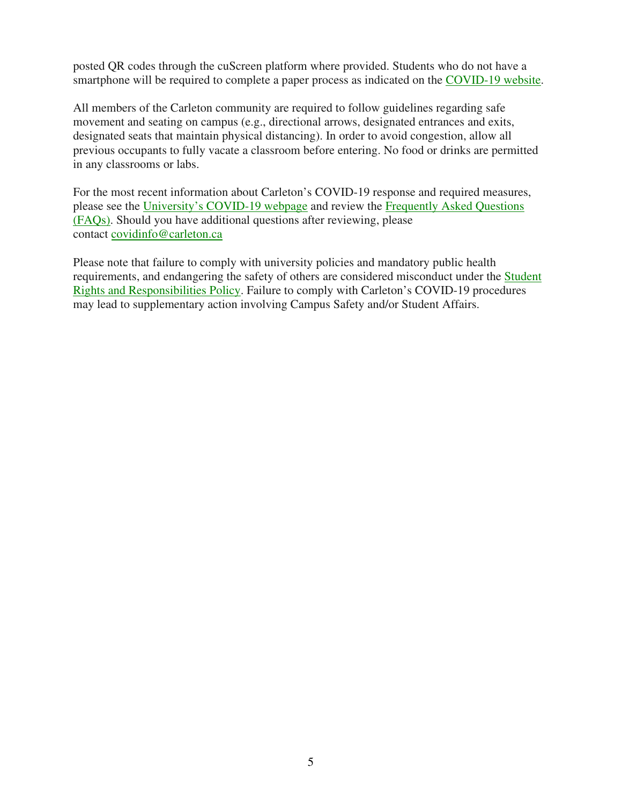posted QR codes through the cuScreen platform where provided. Students who do not have a smartphone will be required to complete a paper process as indicated on the COVID-19 website.

All members of the Carleton community are required to follow guidelines regarding safe movement and seating on campus (e.g., directional arrows, designated entrances and exits, designated seats that maintain physical distancing). In order to avoid congestion, allow all previous occupants to fully vacate a classroom before entering. No food or drinks are permitted in any classrooms or labs.

For the most recent information about Carleton's COVID-19 response and required measures, please see the University's COVID-19 webpage and review the Frequently Asked Questions (FAQs). Should you have additional questions after reviewing, please contact covidinfo@carleton.ca

Please note that failure to comply with university policies and mandatory public health requirements, and endangering the safety of others are considered misconduct under the Student Rights and Responsibilities Policy. Failure to comply with Carleton's COVID-19 procedures may lead to supplementary action involving Campus Safety and/or Student Affairs.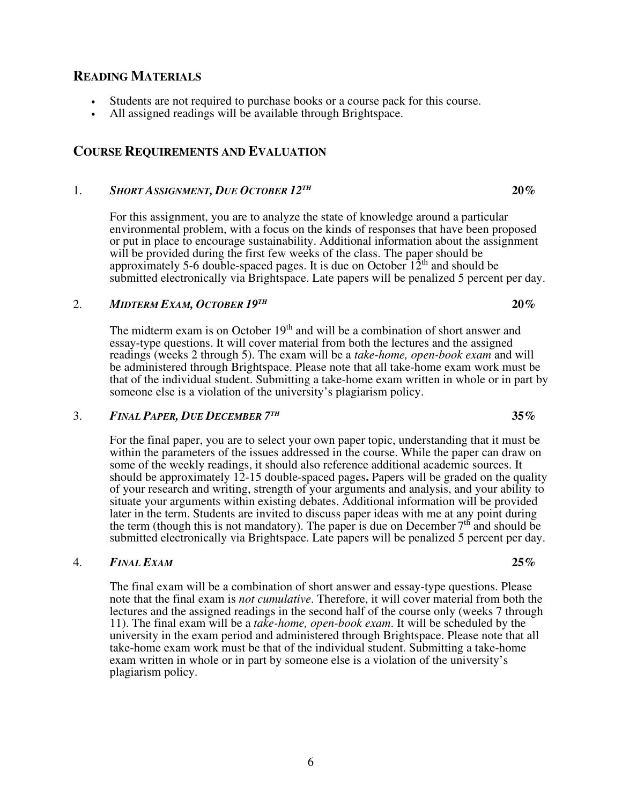# 1. *SHORT ASSIGNMENT, DUE OCTOBER 12TH*

For this assignment, you are to analyze the state of knowledge around a particular environmental problem, with a focus on the kinds of responses that have been proposed or put in place to encourage sustainability. Additional information about the assignment will be provided during the first few weeks of the class. The paper should be approximately 5-6 double-spaced pages. It is due on October  $12<sup>th</sup>$  and should be submitted electronically via Brightspace. Late papers will be penalized 5 percent per day.

 $20\%$ 

 $20\%$ 

#### 2. *MIDTERM EXAM, OCTOBER 19TH*

The midterm exam is on October  $19<sup>th</sup>$  and will be a combination of short answer and essay-type questions. It will cover material from both the lectures and the assigned readings (weeks 2 through 5). The exam will be a *take-home, open-book exam* and will be administered through Brightspace. Please note that all take-home exam work must be that of the individual student. Submitting a take-home exam written in whole or in part by someone else is a violation of the university's plagiarism policy.

#### 3. *FINAL PAPER, DUE DECEMBER 7 TH*

For the final paper, you are to select your own paper topic, understanding that it must be within the parameters of the issues addressed in the course. While the paper can draw on some of the weekly readings, it should also reference additional academic sources. It should be approximately 12-15 double-spaced pages**.** Papers will be graded on the quality of your research and writing, strength of your arguments and analysis, and your ability to situate your arguments within existing debates. Additional information will be provided later in the term. Students are invited to discuss paper ideas with me at any point during the term (though this is not mandatory). The paper is due on December  $7<sup>th</sup>$  and should be submitted electronically via Brightspace. Late papers will be penalized 5 percent per day.

### 4. *FINAL EXAM* **25%**

The final exam will be a combination of short answer and essay-type questions. Please note that the final exam is *not cumulative*. Therefore, it will cover material from both the lectures and the assigned readings in the second half of the course only (weeks 7 through 11). The final exam will be a *take-home, open-book exam*. It will be scheduled by the university in the exam period and administered through Brightspace. Please note that all take-home exam work must be that of the individual student. Submitting a take-home exam written in whole or in part by someone else is a violation of the university's plagiarism policy.

# **READING MATERIALS**

- Students are not required to purchase books or a course pack for this course.
- All assigned readings will be available through Brightspace.

### **COURSE REQUIREMENTS AND EVALUATION**

#### **35%**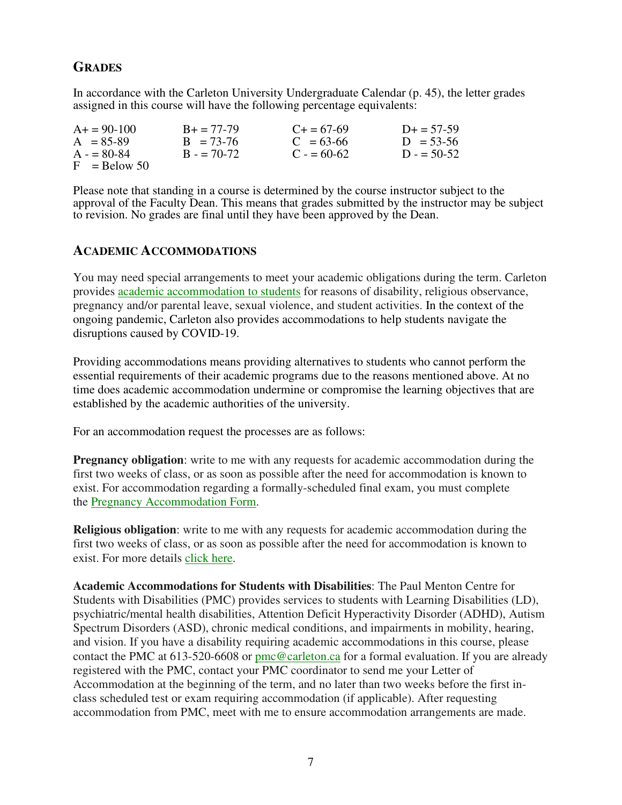### **GRADES**

In accordance with the Carleton University Undergraduate Calendar (p. 45), the letter grades assigned in this course will have the following percentage equivalents:

| $A+ = 90-100$  | $B_+ = 77-79$ | $C_{\pm} = 67 - 69$ | $D_{+} = 57 - 59$ |
|----------------|---------------|---------------------|-------------------|
| $A = 85-89$    | $B = 73-76$   | $C = 63-66$         | $D = 53-56$       |
| $A = 80-84$    | $B = 70-72$   | $C = 60-62$         | $D = 50-52$       |
| $F =$ Relow 50 |               |                     |                   |

Please note that standing in a course is determined by the course instructor subject to the approval of the Faculty Dean. This means that grades submitted by the instructor may be subject to revision. No grades are final until they have been approved by the Dean.

### **ACADEMIC ACCOMMODATIONS**

You may need special arrangements to meet your academic obligations during the term. Carleton provides academic accommodation to students for reasons of disability, religious observance, pregnancy and/or parental leave, sexual violence, and student activities. In the context of the ongoing pandemic, Carleton also provides accommodations to help students navigate the disruptions caused by COVID-19.

Providing accommodations means providing alternatives to students who cannot perform the essential requirements of their academic programs due to the reasons mentioned above. At no time does academic accommodation undermine or compromise the learning objectives that are established by the academic authorities of the university.

For an accommodation request the processes are as follows:

**Pregnancy obligation**: write to me with any requests for academic accommodation during the first two weeks of class, or as soon as possible after the need for accommodation is known to exist. For accommodation regarding a formally-scheduled final exam, you must complete the Pregnancy Accommodation Form.

**Religious obligation**: write to me with any requests for academic accommodation during the first two weeks of class, or as soon as possible after the need for accommodation is known to exist. For more details click here.

**Academic Accommodations for Students with Disabilities**: The Paul Menton Centre for Students with Disabilities (PMC) provides services to students with Learning Disabilities (LD), psychiatric/mental health disabilities, Attention Deficit Hyperactivity Disorder (ADHD), Autism Spectrum Disorders (ASD), chronic medical conditions, and impairments in mobility, hearing, and vision. If you have a disability requiring academic accommodations in this course, please contact the PMC at 613-520-6608 or pmc@carleton.ca for a formal evaluation. If you are already registered with the PMC, contact your PMC coordinator to send me your Letter of Accommodation at the beginning of the term, and no later than two weeks before the first inclass scheduled test or exam requiring accommodation (if applicable). After requesting accommodation from PMC, meet with me to ensure accommodation arrangements are made.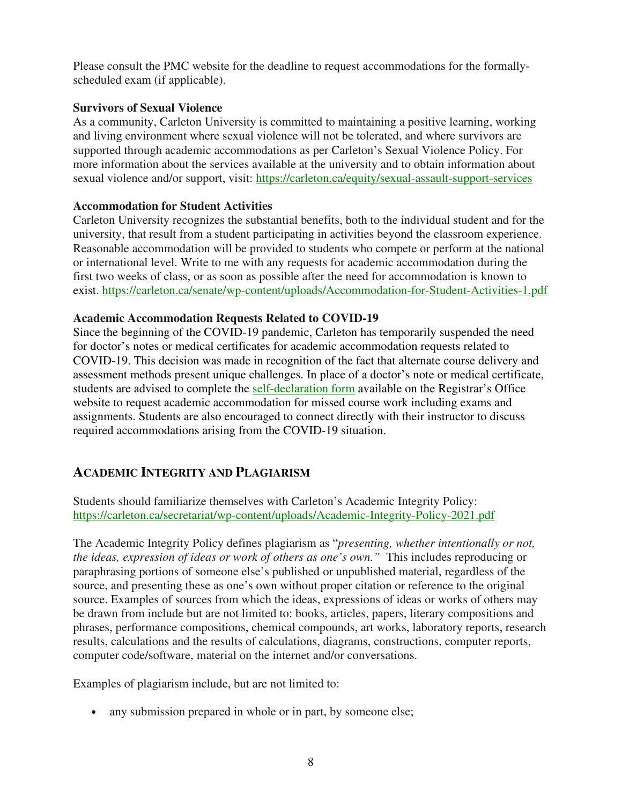Please consult the PMC website for the deadline to request accommodations for the formallyscheduled exam (if applicable).

### **Survivors of Sexual Violence**

As a community, Carleton University is committed to maintaining a positive learning, working and living environment where sexual violence will not be tolerated, and where survivors are supported through academic accommodations as per Carleton's Sexual Violence Policy. For more information about the services available at the university and to obtain information about sexual violence and/or support, visit: https://carleton.ca/equity/sexual-assault-support-services

### **Accommodation for Student Activities**

Carleton University recognizes the substantial benefits, both to the individual student and for the university, that result from a student participating in activities beyond the classroom experience. Reasonable accommodation will be provided to students who compete or perform at the national or international level. Write to me with any requests for academic accommodation during the first two weeks of class, or as soon as possible after the need for accommodation is known to exist. https://carleton.ca/senate/wp-content/uploads/Accommodation-for-Student-Activities-1.pdf

### **Academic Accommodation Requests Related to COVID-19**

Since the beginning of the COVID-19 pandemic, Carleton has temporarily suspended the need for doctor's notes or medical certificates for academic accommodation requests related to COVID-19. This decision was made in recognition of the fact that alternate course delivery and assessment methods present unique challenges. In place of a doctor's note or medical certificate, students are advised to complete the self-declaration form available on the Registrar's Office website to request academic accommodation for missed course work including exams and assignments. Students are also encouraged to connect directly with their instructor to discuss required accommodations arising from the COVID-19 situation.

### **ACADEMIC INTEGRITY AND PLAGIARISM**

Students should familiarize themselves with Carleton's Academic Integrity Policy: https://carleton.ca/secretariat/wp-content/uploads/Academic-Integrity-Policy-2021.pdf

The Academic Integrity Policy defines plagiarism as "*presenting, whether intentionally or not, the ideas, expression of ideas or work of others as one's own."* This includes reproducing or paraphrasing portions of someone else's published or unpublished material, regardless of the source, and presenting these as one's own without proper citation or reference to the original source. Examples of sources from which the ideas, expressions of ideas or works of others may be drawn from include but are not limited to: books, articles, papers, literary compositions and phrases, performance compositions, chemical compounds, art works, laboratory reports, research results, calculations and the results of calculations, diagrams, constructions, computer reports, computer code/software, material on the internet and/or conversations.

Examples of plagiarism include, but are not limited to:

• any submission prepared in whole or in part, by someone else;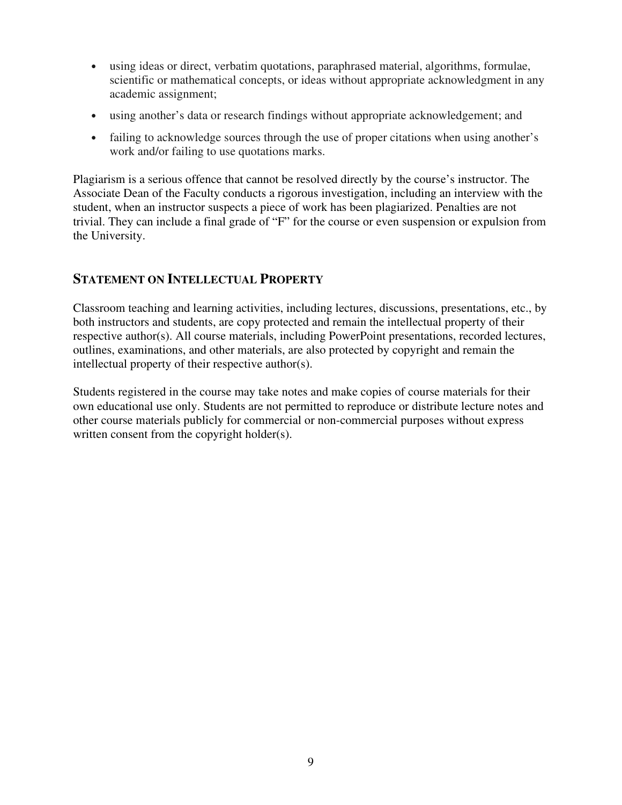- using ideas or direct, verbatim quotations, paraphrased material, algorithms, formulae, scientific or mathematical concepts, or ideas without appropriate acknowledgment in any academic assignment;
- using another's data or research findings without appropriate acknowledgement; and
- failing to acknowledge sources through the use of proper citations when using another's work and/or failing to use quotations marks.

Plagiarism is a serious offence that cannot be resolved directly by the course's instructor. The Associate Dean of the Faculty conducts a rigorous investigation, including an interview with the student, when an instructor suspects a piece of work has been plagiarized. Penalties are not trivial. They can include a final grade of "F" for the course or even suspension or expulsion from the University.

### **STATEMENT ON INTELLECTUAL PROPERTY**

Classroom teaching and learning activities, including lectures, discussions, presentations, etc., by both instructors and students, are copy protected and remain the intellectual property of their respective author(s). All course materials, including PowerPoint presentations, recorded lectures, outlines, examinations, and other materials, are also protected by copyright and remain the intellectual property of their respective author(s).

Students registered in the course may take notes and make copies of course materials for their own educational use only. Students are not permitted to reproduce or distribute lecture notes and other course materials publicly for commercial or non-commercial purposes without express written consent from the copyright holder(s).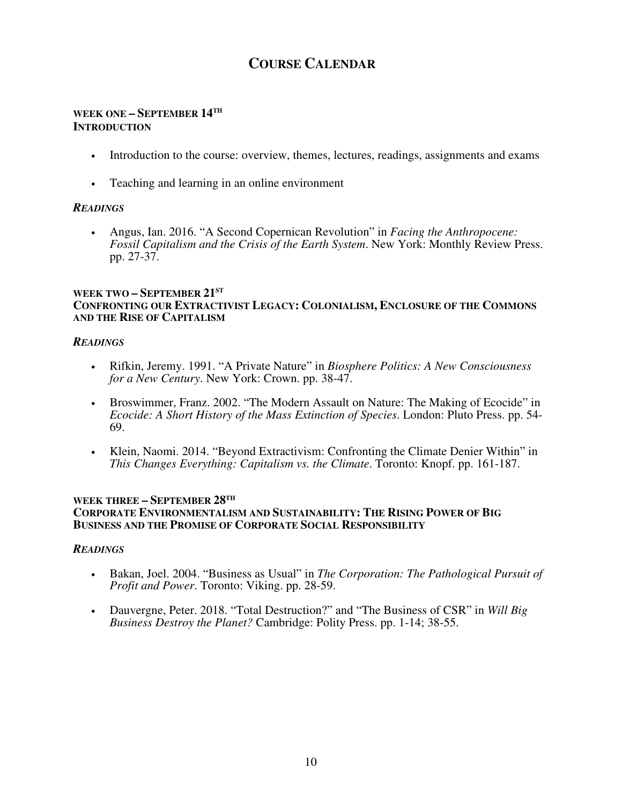## **COURSE CALENDAR**

### **WEEK ONE – SEPTEMBER 14TH INTRODUCTION**

- Introduction to the course: overview, themes, lectures, readings, assignments and exams
- Teaching and learning in an online environment

### *READINGS*

• Angus, Ian. 2016. "A Second Copernican Revolution" in *Facing the Anthropocene: Fossil Capitalism and the Crisis of the Earth System*. New York: Monthly Review Press. pp. 27-37.

### **WEEK TWO – SEPTEMBER 21ST CONFRONTING OUR EXTRACTIVIST LEGACY: COLONIALISM, ENCLOSURE OF THE COMMONS AND THE RISE OF CAPITALISM**

### *READINGS*

- Rifkin, Jeremy. 1991. "A Private Nature" in *Biosphere Politics: A New Consciousness for a New Century*. New York: Crown. pp. 38-47.
- Broswimmer, Franz. 2002. "The Modern Assault on Nature: The Making of Ecocide" in *Ecocide: A Short History of the Mass Extinction of Species*. London: Pluto Press. pp. 54- 69.
- Klein, Naomi. 2014. "Beyond Extractivism: Confronting the Climate Denier Within" in *This Changes Everything: Capitalism vs. the Climate*. Toronto: Knopf. pp. 161-187.

### **WEEK THREE – SEPTEMBER 28TH CORPORATE ENVIRONMENTALISM AND SUSTAINABILITY: THE RISING POWER OF BIG BUSINESS AND THE PROMISE OF CORPORATE SOCIAL RESPONSIBILITY**

### *READINGS*

- Bakan, Joel. 2004. "Business as Usual" in *The Corporation: The Pathological Pursuit of Profit and Power*. Toronto: Viking. pp. 28-59.
- Dauvergne, Peter. 2018. "Total Destruction?" and "The Business of CSR" in *Will Big Business Destroy the Planet?* Cambridge: Polity Press. pp. 1-14; 38-55.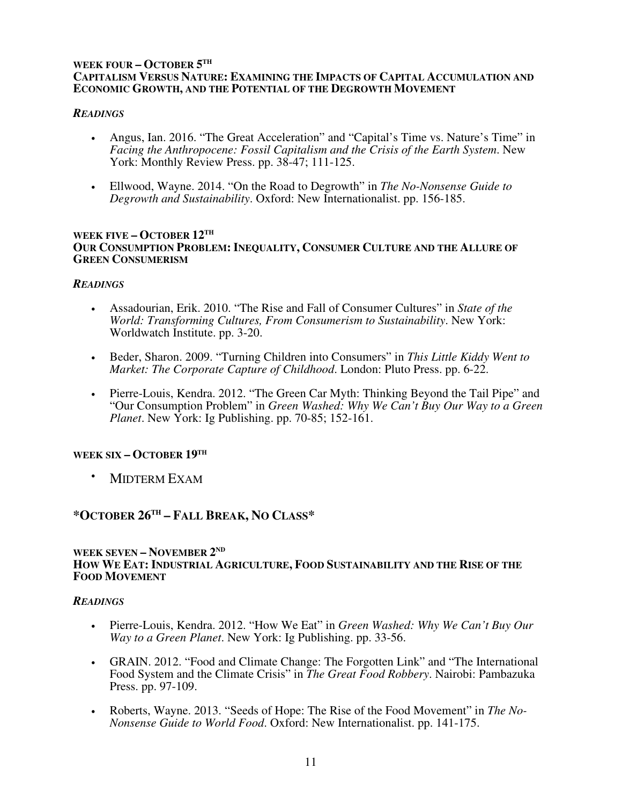### **WEEK FOUR – OCTOBER 5 TH CAPITALISM VERSUS NATURE: EXAMINING THE IMPACTS OF CAPITAL ACCUMULATION AND ECONOMIC GROWTH, AND THE POTENTIAL OF THE DEGROWTH MOVEMENT**

### *READINGS*

- Angus, Ian. 2016. "The Great Acceleration" and "Capital's Time vs. Nature's Time" in *Facing the Anthropocene: Fossil Capitalism and the Crisis of the Earth System*. New York: Monthly Review Press. pp. 38-47; 111-125.
- Ellwood, Wayne. 2014. "On the Road to Degrowth" in *The No-Nonsense Guide to Degrowth and Sustainability*. Oxford: New Internationalist. pp. 156-185.

### **WEEK FIVE – OCTOBER 12TH OUR CONSUMPTION PROBLEM: INEQUALITY, CONSUMER CULTURE AND THE ALLURE OF GREEN CONSUMERISM**

### *READINGS*

- Assadourian, Erik. 2010. "The Rise and Fall of Consumer Cultures" in *State of the World: Transforming Cultures, From Consumerism to Sustainability*. New York: Worldwatch Institute. pp. 3-20.
- Beder, Sharon. 2009. "Turning Children into Consumers" in *This Little Kiddy Went to Market: The Corporate Capture of Childhood*. London: Pluto Press. pp. 6-22.
- Pierre-Louis, Kendra. 2012. "The Green Car Myth: Thinking Beyond the Tail Pipe" and "Our Consumption Problem" in *Green Washed: Why We Can't Buy Our Way to a Green Planet*. New York: Ig Publishing. pp. 70-85; 152-161.

### **WEEK SIX – OCTOBER 19TH**

• MIDTERM EXAM

### **\*OCTOBER 26TH – FALL BREAK, NO CLASS\***

#### **WEEK SEVEN – NOVEMBER 2 ND HOW WE EAT: INDUSTRIAL AGRICULTURE, FOOD SUSTAINABILITY AND THE RISE OF THE FOOD MOVEMENT**

### *READINGS*

- Pierre-Louis, Kendra. 2012. "How We Eat" in *Green Washed: Why We Can't Buy Our Way to a Green Planet*. New York: Ig Publishing. pp. 33-56.
- GRAIN. 2012. "Food and Climate Change: The Forgotten Link" and "The International Food System and the Climate Crisis" in *The Great Food Robbery*. Nairobi: Pambazuka Press. pp. 97-109.
- Roberts, Wayne. 2013. "Seeds of Hope: The Rise of the Food Movement" in *The No-Nonsense Guide to World Food*. Oxford: New Internationalist. pp. 141-175.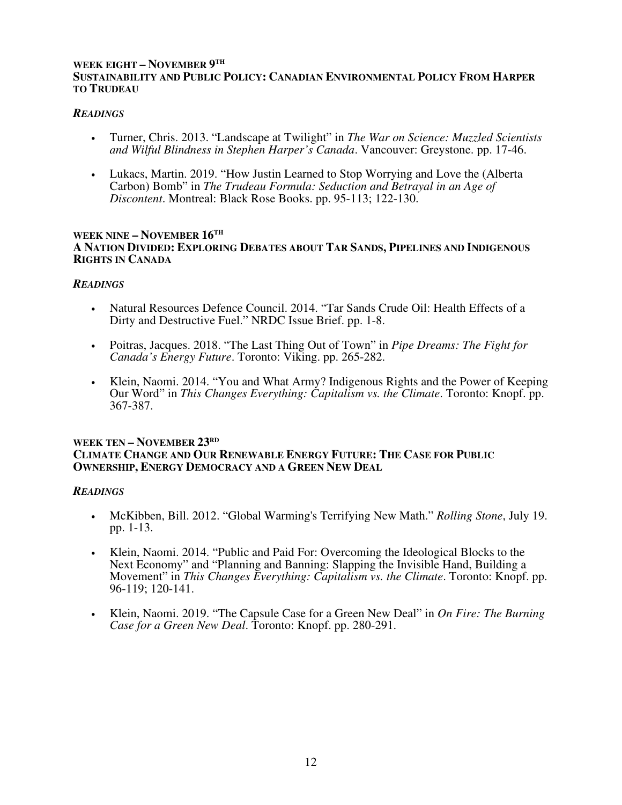### **WEEK EIGHT – NOVEMBER 9 TH SUSTAINABILITY AND PUBLIC POLICY: CANADIAN ENVIRONMENTAL POLICY FROM HARPER TO TRUDEAU**

### *READINGS*

- Turner, Chris. 2013. "Landscape at Twilight" in *The War on Science: Muzzled Scientists and Wilful Blindness in Stephen Harper's Canada*. Vancouver: Greystone. pp. 17-46.
- Lukacs, Martin. 2019. "How Justin Learned to Stop Worrying and Love the (Alberta Carbon) Bomb" in *The Trudeau Formula: Seduction and Betrayal in an Age of Discontent*. Montreal: Black Rose Books. pp. 95-113; 122-130.

#### **WEEK NINE – NOVEMBER 16TH A NATION DIVIDED: EXPLORING DEBATES ABOUT TAR SANDS, PIPELINES AND INDIGENOUS RIGHTS IN CANADA**

### *READINGS*

- Natural Resources Defence Council. 2014. "Tar Sands Crude Oil: Health Effects of a Dirty and Destructive Fuel." NRDC Issue Brief. pp. 1-8.
- Poitras, Jacques. 2018. "The Last Thing Out of Town" in *Pipe Dreams: The Fight for Canada's Energy Future*. Toronto: Viking. pp. 265-282.
- Klein, Naomi. 2014. "You and What Army? Indigenous Rights and the Power of Keeping Our Word" in *This Changes Everything: Capitalism vs. the Climate*. Toronto: Knopf. pp. 367-387.

### **WEEK TEN – NOVEMBER 23RD CLIMATE CHANGE AND OUR RENEWABLE ENERGY FUTURE: THE CASE FOR PUBLIC OWNERSHIP, ENERGY DEMOCRACY AND A GREEN NEW DEAL**

### *READINGS*

- McKibben, Bill. 2012. "Global Warming's Terrifying New Math." *Rolling Stone*, July 19. pp. 1-13.
- Klein, Naomi. 2014. "Public and Paid For: Overcoming the Ideological Blocks to the Next Economy" and "Planning and Banning: Slapping the Invisible Hand, Building a Movement" in *This Changes Everything: Capitalism vs. the Climate*. Toronto: Knopf. pp. 96-119; 120-141.
- Klein, Naomi. 2019. "The Capsule Case for a Green New Deal" in *On Fire: The Burning Case for a Green New Deal*. Toronto: Knopf. pp. 280-291.